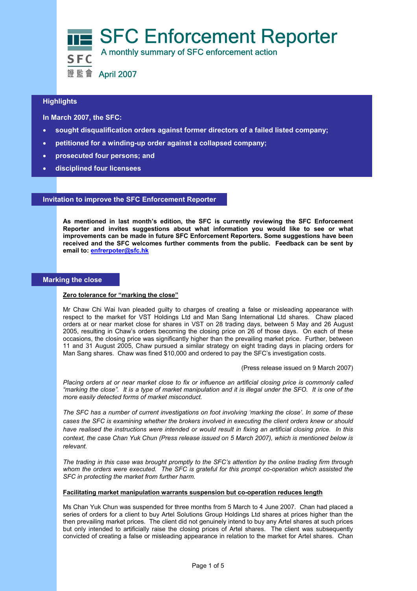

# $\overline{a}$ **Highlights**

 **In March 2007, the SFC:** 

- **sought disqualification orders against former directors of a failed listed company;**
- **petitioned for a winding-up order against a collapsed company;**
- **prosecuted four persons; and**
- **disciplined four licensees**

## **Invitation to improve the SFC Enforcement Reporter**

**As mentioned in last month's edition, the SFC is currently reviewing the SFC Enforcement Reporter and invites suggestions about what information you would like to see or what improvements can be made in future SFC Enforcement Reporters. Some suggestions have been received and the SFC welcomes further comments from the public. Feedback can be sent by email to: enfrerpoter@sfc.hk**

## **Marking the close**

## **Zero tolerance for "marking the close"**

Mr Chaw Chi Wai Ivan pleaded guilty to charges of creating a false or misleading appearance with respect to the market for VST Holdings Ltd and Man Sang International Ltd shares. Chaw placed orders at or near market close for shares in VST on 28 trading days, between 5 May and 26 August 2005, resulting in Chaw's orders becoming the closing price on 26 of those days. On each of these occasions, the closing price was significantly higher than the prevailing market price. Further, between 11 and 31 August 2005, Chaw pursued a similar strategy on eight trading days in placing orders for Man Sang shares. Chaw was fined \$10,000 and ordered to pay the SFC's investigation costs.

(Press release issued on 9 March 2007)

*Placing orders at or near market close to fix or influence an artificial closing price is commonly called "marking the close". It is a type of market manipulation and it is illegal under the SFO. It is one of the more easily detected forms of market misconduct.* 

*The SFC has a number of current investigations on foot involving 'marking the close'. In some of these cases the SFC is examining whether the brokers involved in executing the client orders knew or should have realised the instructions were intended or would result in fixing an artificial closing price. In this context, the case Chan Yuk Chun (Press release issued on 5 March 2007), which is mentioned below is relevant.* 

*The trading in this case was brought promptly to the SFC's attention by the online trading firm through whom the orders were executed. The SFC is grateful for this prompt co-operation which assisted the SFC in protecting the market from further harm.* 

### **Facilitating market manipulation warrants suspension but co-operation reduces length**

Ms Chan Yuk Chun was suspended for three months from 5 March to 4 June 2007. Chan had placed a series of orders for a client to buy Artel Solutions Group Holdings Ltd shares at prices higher than the then prevailing market prices. The client did not genuinely intend to buy any Artel shares at such prices but only intended to artificially raise the closing prices of Artel shares. The client was subsequently convicted of creating a false or misleading appearance in relation to the market for Artel shares. Chan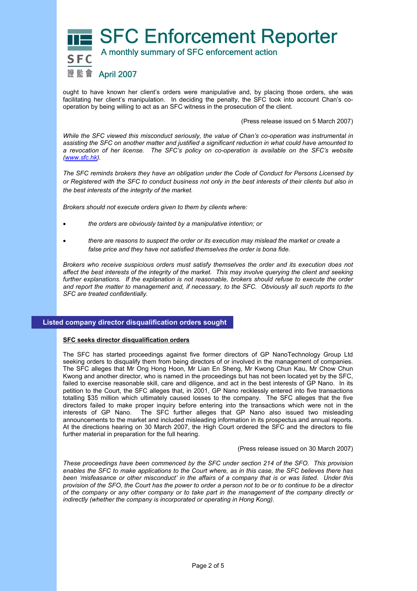

ought to have known her client's orders were manipulative and, by placing those orders, she was facilitating her client's manipulation. In deciding the penalty, the SFC took into account Chan's cooperation by being willing to act as an SFC witness in the prosecution of the client.

(Press release issued on 5 March 2007)

*While the SFC viewed this misconduct seriously, the value of Chan's co-operation was instrumental in assisting the SFC on another matter and justified a significant reduction in what could have amounted to a revocation of her license. The SFC's policy on co-operation is available on the SFC's website (www.sfc.hk).* 

*The SFC reminds brokers they have an obligation under the Code of Conduct for Persons Licensed by or Registered with the SFC to conduct business not only in the best interests of their clients but also in the best interests of the integrity of the market.* 

*Brokers should not execute orders given to them by clients where:* 

- *the orders are obviously tainted by a manipulative intention; or*
- *there are reasons to suspect the order or its execution may mislead the market or create a false price and they have not satisfied themselves the order is bona fide.*

*Brokers who receive suspicious orders must satisfy themselves the order and its execution does not affect the best interests of the integrity of the market. This may involve querying the client and seeking*  further explanations. If the explanation is not reasonable, brokers should refuse to execute the order *and report the matter to management and, if necessary, to the SFC. Obviously all such reports to the SFC are treated confidentially.* 

# **Listed company director disqualification orders sought**

### **SFC seeks director disqualification orders**

The SFC has started proceedings against five former directors of GP NanoTechnology Group Ltd seeking orders to disqualify them from being directors of or involved in the management of companies. The SFC alleges that Mr Ong Hong Hoon, Mr Lian En Sheng, Mr Kwong Chun Kau, Mr Chow Chun Kwong and another director, who is named in the proceedings but has not been located yet by the SFC, failed to exercise reasonable skill, care and diligence, and act in the best interests of GP Nano. In its petition to the Court, the SFC alleges that, in 2001, GP Nano recklessly entered into five transactions totalling \$35 million which ultimately caused losses to the company. The SFC alleges that the five directors failed to make proper inquiry before entering into the transactions which were not in the interests of GP Nano. The SFC further alleges that GP Nano also issued two misleading The SFC further alleges that GP Nano also issued two misleading announcements to the market and included misleading information in its prospectus and annual reports. At the directions hearing on 30 March 2007, the High Court ordered the SFC and the directors to file further material in preparation for the full hearing.

#### (Press release issued on 30 March 2007)

*These proceedings have been commenced by the SFC under section 214 of the SFO. This provision enables the SFC to make applications to the Court where, as in this case, the SFC believes there has been 'misfeasance or other misconduct' in the affairs of a company that is or was listed. Under this provision of the SFO, the Court has the power to order a person not to be or to continue to be a director of the company or any other company or to take part in the management of the company directly or indirectly (whether the company is incorporated or operating in Hong Kong).*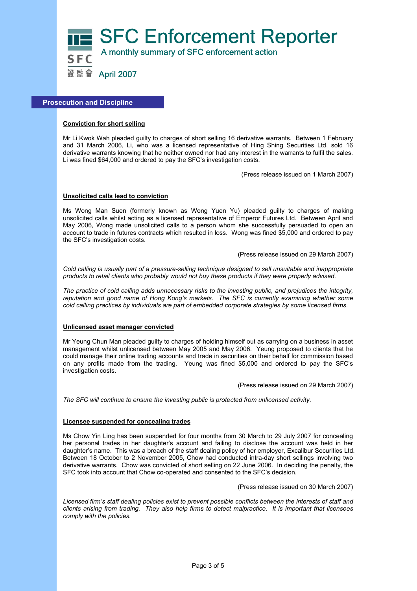

## **Prosecution and Discipline**

## **Conviction for short selling**

Mr Li Kwok Wah pleaded guilty to charges of short selling 16 derivative warrants. Between 1 February and 31 March 2006, Li, who was a licensed representative of Hing Shing Securities Ltd, sold 16 derivative warrants knowing that he neither owned nor had any interest in the warrants to fulfil the sales. Li was fined \$64,000 and ordered to pay the SFC's investigation costs.

(Press release issued on 1 March 2007)

### **Unsolicited calls lead to conviction**

Ms Wong Man Suen (formerly known as Wong Yuen Yu) pleaded guilty to charges of making unsolicited calls whilst acting as a licensed representative of Emperor Futures Ltd. Between April and May 2006, Wong made unsolicited calls to a person whom she successfully persuaded to open an account to trade in futures contracts which resulted in loss. Wong was fined \$5,000 and ordered to pay the SFC's investigation costs.

(Press release issued on 29 March 2007)

*Cold calling is usually part of a pressure-selling technique designed to sell unsuitable and inappropriate products to retail clients who probably would not buy these products if they were properly advised.* 

*The practice of cold calling adds unnecessary risks to the investing public, and prejudices the integrity, reputation and good name of Hong Kong's markets. The SFC is currently examining whether some cold calling practices by individuals are part of embedded corporate strategies by some licensed firms.* 

#### **Unlicensed asset manager convicted**

Mr Yeung Chun Man pleaded guilty to charges of holding himself out as carrying on a business in asset management whilst unlicensed between May 2005 and May 2006. Yeung proposed to clients that he could manage their online trading accounts and trade in securities on their behalf for commission based on any profits made from the trading. Yeung was fined \$5,000 and ordered to pay the SFC's investigation costs.

(Press release issued on 29 March 2007)

*The SFC will continue to ensure the investing public is protected from unlicensed activity.* 

### **Licensee suspended for concealing trades**

Ms Chow Yin Ling has been suspended for four months from 30 March to 29 July 2007 for concealing her personal trades in her daughter's account and failing to disclose the account was held in her daughter's name. This was a breach of the staff dealing policy of her employer, Excalibur Securities Ltd. Between 18 October to 2 November 2005, Chow had conducted intra-day short sellings involving two derivative warrants. Chow was convicted of short selling on 22 June 2006. In deciding the penalty, the SFC took into account that Chow co-operated and consented to the SFC's decision.

(Press release issued on 30 March 2007)

*Licensed firm's staff dealing policies exist to prevent possible conflicts between the interests of staff and clients arising from trading. They also help firms to detect malpractice. It is important that licensees comply with the policies.*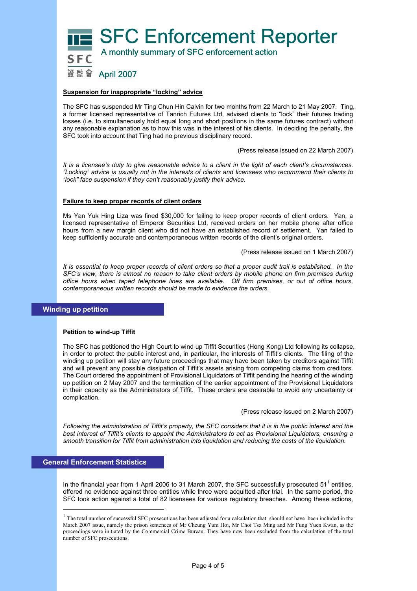**SFC Enforcement Reporter**  A monthly summary of SFC enforcement action 證監會 April 2007

# **Suspension for inappropriate "locking" advice**

The SFC has suspended Mr Ting Chun Hin Calvin for two months from 22 March to 21 May 2007. Ting, a former licensed representative of Tanrich Futures Ltd, advised clients to "lock" their futures trading losses (i.e. to simultaneously hold equal long and short positions in the same futures contract) without any reasonable explanation as to how this was in the interest of his clients. In deciding the penalty, the SFC took into account that Ting had no previous disciplinary record.

(Press release issued on 22 March 2007)

*It is a licensee's duty to give reasonable advice to a client in the light of each client's circumstances. "Locking" advice is usually not in the interests of clients and licensees who recommend their clients to "lock" face suspension if they can't reasonably justify their advice.* 

#### **Failure to keep proper records of client orders**

Ms Yan Yuk Hing Liza was fined \$30,000 for failing to keep proper records of client orders. Yan, a licensed representative of Emperor Securities Ltd, received orders on her mobile phone after office hours from a new margin client who did not have an established record of settlement. Yan failed to keep sufficiently accurate and contemporaneous written records of the client's original orders.

#### (Press release issued on 1 March 2007)

*It is essential to keep proper records of client orders so that a proper audit trail is established. In the SFC's view, there is almost no reason to take client orders by mobile phone on firm premises during office hours when taped telephone lines are available. Off firm premises, or out of office hours, contemporaneous written records should be made to evidence the orders.* 

### **Winding up petition**

#### **Petition to wind-up Tiffit**

The SFC has petitioned the High Court to wind up Tiffit Securities (Hong Kong) Ltd following its collapse, in order to protect the public interest and, in particular, the interests of Tiffit's clients. The filing of the winding up petition will stay any future proceedings that may have been taken by creditors against Tiffit and will prevent any possible dissipation of Tiffit's assets arising from competing claims from creditors. The Court ordered the appointment of Provisional Liquidators of Tiffit pending the hearing of the winding up petition on 2 May 2007 and the termination of the earlier appointment of the Provisional Liquidators in their capacity as the Administrators of Tiffit. These orders are desirable to avoid any uncertainty or complication.

(Press release issued on 2 March 2007)

*Following the administration of Tiffit's property, the SFC considers that it is in the public interest and the best interest of Tiffit's clients to appoint the Administrators to act as Provisional Liquidators, ensuring a smooth transition for Tiffit from administration into liquidation and reducing the costs of the liquidation.* 

# **General Enforcement Statistics**

 $\overline{a}$ 

In the financial year from 1 April 2006 to 31 March 2007, the SFC successfully prosecuted 51<sup>1</sup> entities, offered no evidence against three entities while three were acquitted after trial. In the same period, the SFC took action against a total of 82 licensees for various regulatory breaches. Among these actions,

<sup>&</sup>lt;sup>1</sup> The total number of successful SFC prosecutions has been adjusted for a calculation that should not have been included in the March 2007 issue, namely the prison sentences of Mr Cheung Yum Hoi, Mr Choi Tsz Ming and Mr Fung Yuen Kwan, as the proceedings were initiated by the Commercial Crime Bureau. They have now been excluded from the calculation of the total number of SFC prosecutions.